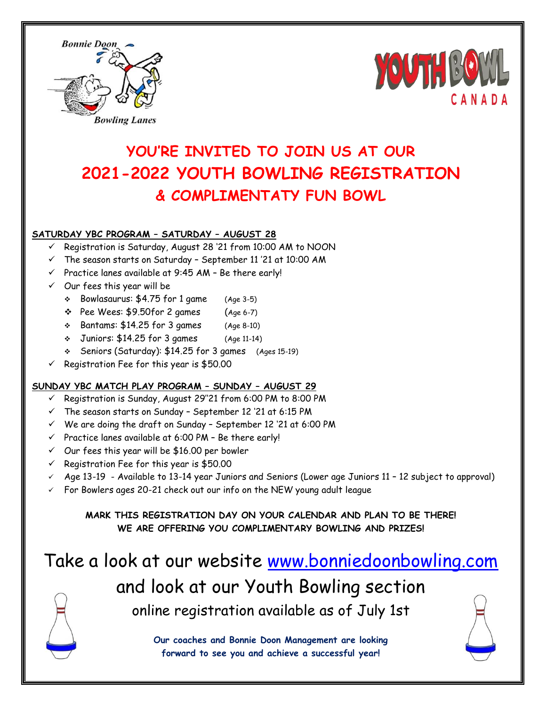



### **YOU'RE INVITED TO JOIN US AT OUR 2021-2022 YOUTH BOWLING REGISTRATION & COMPLIMENTATY FUN BOWL**

#### **SATURDAY YBC PROGRAM – SATURDAY – AUGUST 28**

- Registration is Saturday, August 28 '21 from 10:00 AM to NOON
- $\checkmark$  The season starts on Saturday September 11 '21 at 10:00 AM
- $\checkmark$  Practice lanes available at 9:45 AM Be there early!
- $\checkmark$  Our fees this year will be
	- $\div$  Bowlasaurus: \$4.75 for 1 game (Age 3-5)
	- $\div$  Pee Wees:  $$9.50$ for 2 games (Age 6-7)
	- $\div$  Bantams: \$14.25 for 3 games (Age 8-10)
	- Juniors: \$14.25 for 3 games (Age 11-14)
	- Seniors (Saturday): \$14.25 for 3 games (Ages 15-19)
- $\checkmark$  Registration Fee for this year is \$50.00

#### **SUNDAY YBC MATCH PLAY PROGRAM – SUNDAY – AUGUST 29**

- $\checkmark$  Registration is Sunday, August 29"21 from 6:00 PM to 8:00 PM
- $\checkmark$  The season starts on Sunday September 12 '21 at 6:15 PM
- $\checkmark$  We are doing the draft on Sunday September 12 '21 at 6:00 PM
- $\checkmark$  Practice lanes available at 6:00 PM Be there early!
- $\checkmark$  Our fees this year will be \$16.00 per bowler
- $\checkmark$  Registration Fee for this year is \$50.00
- $\checkmark$  Age 13-19 Available to 13-14 year Juniors and Seniors (Lower age Juniors 11 12 subject to approval)
- $\checkmark$  For Bowlers ages 20-21 check out our info on the NEW young adult league

**MARK THIS REGISTRATION DAY ON YOUR CALENDAR AND PLAN TO BE THERE! WE ARE OFFERING YOU COMPLIMENTARY BOWLING AND PRIZES!**

# Take a look at our website [www.bonniedoonbowling.com](http://www.bonniedoonbowling.com/) and look at our Youth Bowling section online registration available as of July 1st

**Our coaches and Bonnie Doon Management are looking forward to see you and achieve a successful year!**